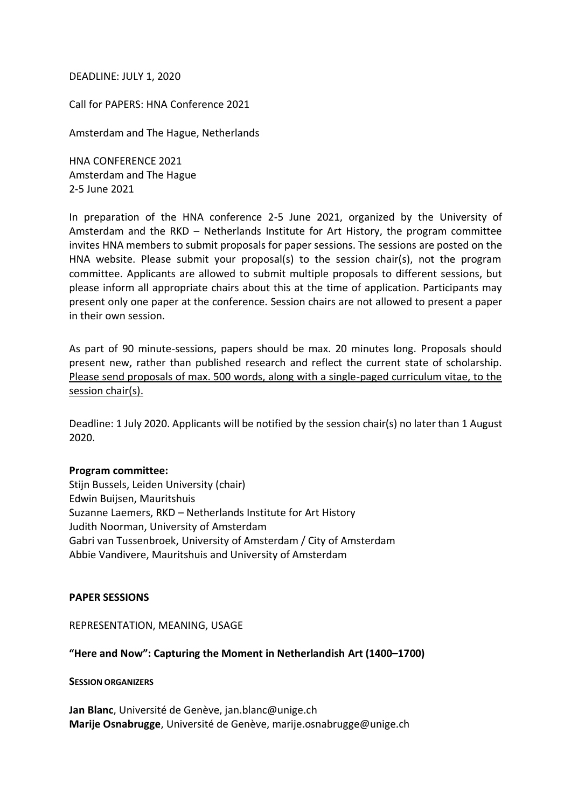DEADLINE: JULY 1, 2020

Call for PAPERS: HNA Conference 2021

Amsterdam and The Hague, Netherlands

HNA CONFERENCE 2021 Amsterdam and The Hague 2-5 June 2021

In preparation of the HNA conference 2-5 June 2021, organized by the University of Amsterdam and the RKD – Netherlands Institute for Art History, the program committee invites HNA members to submit proposals for paper sessions. The sessions are posted on the HNA website. Please submit your proposal(s) to the session chair(s), not the program committee. Applicants are allowed to submit multiple proposals to different sessions, but please inform all appropriate chairs about this at the time of application. Participants may present only one paper at the conference. Session chairs are not allowed to present a paper in their own session.

As part of 90 minute-sessions, papers should be max. 20 minutes long. Proposals should present new, rather than published research and reflect the current state of scholarship. Please send proposals of max. 500 words, along with a single-paged curriculum vitae, to the session chair(s).

Deadline: 1 July 2020. Applicants will be notified by the session chair(s) no later than 1 August 2020.

### **Program committee:**

Stijn Bussels, Leiden University (chair) Edwin Buijsen, Mauritshuis Suzanne Laemers, RKD – Netherlands Institute for Art History Judith Noorman, University of Amsterdam Gabri van Tussenbroek, University of Amsterdam / City of Amsterdam Abbie Vandivere, Mauritshuis and University of Amsterdam

### **PAPER SESSIONS**

REPRESENTATION, MEANING, USAGE

**"Here and Now": Capturing the Moment in Netherlandish Art (1400–1700)**

**SESSION ORGANIZERS**

**Jan Blanc**, Université de Genève, jan.blanc@unige.ch **Marije Osnabrugge**, Université de Genève, marije.osnabrugge@unige.ch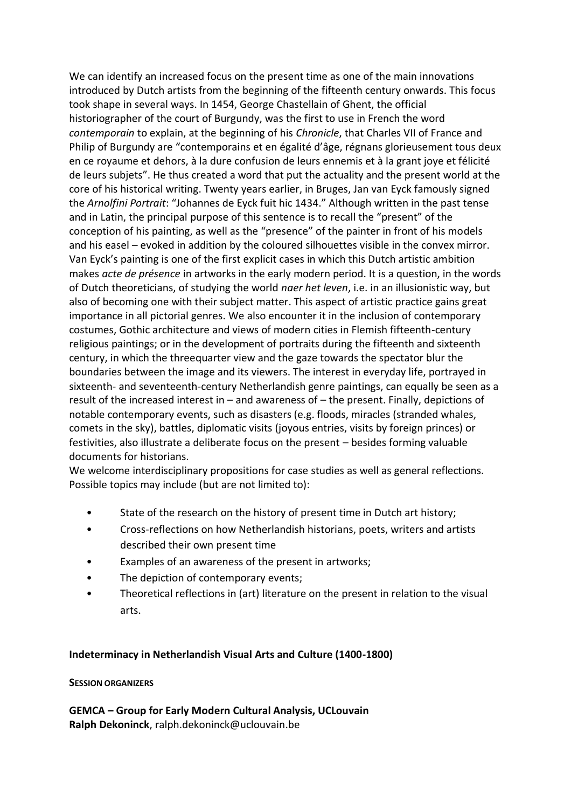We can identify an increased focus on the present time as one of the main innovations introduced by Dutch artists from the beginning of the fifteenth century onwards. This focus took shape in several ways. In 1454, George Chastellain of Ghent, the official historiographer of the court of Burgundy, was the first to use in French the word *contemporain* to explain, at the beginning of his *Chronicle*, that Charles VII of France and Philip of Burgundy are "contemporains et en égalité d'âge, régnans glorieusement tous deux en ce royaume et dehors, à la dure confusion de leurs ennemis et à la grant joye et félicité de leurs subjets". He thus created a word that put the actuality and the present world at the core of his historical writing. Twenty years earlier, in Bruges, Jan van Eyck famously signed the *Arnolfini Portrait*: "Johannes de Eyck fuit hic 1434." Although written in the past tense and in Latin, the principal purpose of this sentence is to recall the "present" of the conception of his painting, as well as the "presence" of the painter in front of his models and his easel – evoked in addition by the coloured silhouettes visible in the convex mirror. Van Eyck's painting is one of the first explicit cases in which this Dutch artistic ambition makes *acte de présence* in artworks in the early modern period. It is a question, in the words of Dutch theoreticians, of studying the world *naer het leven*, i.e. in an illusionistic way, but also of becoming one with their subject matter. This aspect of artistic practice gains great importance in all pictorial genres. We also encounter it in the inclusion of contemporary costumes, Gothic architecture and views of modern cities in Flemish fifteenth-century religious paintings; or in the development of portraits during the fifteenth and sixteenth century, in which the threequarter view and the gaze towards the spectator blur the boundaries between the image and its viewers. The interest in everyday life, portrayed in sixteenth- and seventeenth-century Netherlandish genre paintings, can equally be seen as a result of the increased interest in – and awareness of – the present. Finally, depictions of notable contemporary events, such as disasters (e.g. floods, miracles (stranded whales, comets in the sky), battles, diplomatic visits (joyous entries, visits by foreign princes) or festivities, also illustrate a deliberate focus on the present – besides forming valuable documents for historians.

We welcome interdisciplinary propositions for case studies as well as general reflections. Possible topics may include (but are not limited to):

- State of the research on the history of present time in Dutch art history;
- Cross-reflections on how Netherlandish historians, poets, writers and artists described their own present time
- Examples of an awareness of the present in artworks;
- The depiction of contemporary events;
- Theoretical reflections in (art) literature on the present in relation to the visual arts.

# **Indeterminacy in Netherlandish Visual Arts and Culture (1400-1800)**

## **SESSION ORGANIZERS**

**GEMCA – Group for Early Modern Cultural Analysis, UCLouvain Ralph Dekoninck**, ralph.dekoninck@uclouvain.be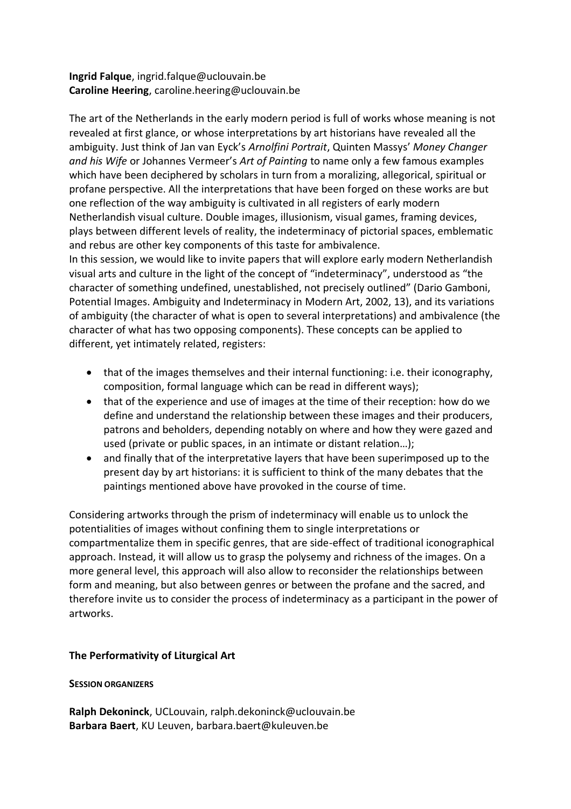# **Ingrid Falque**, ingrid.falque@uclouvain.be **Caroline Heering**, caroline.heering@uclouvain.be

The art of the Netherlands in the early modern period is full of works whose meaning is not revealed at first glance, or whose interpretations by art historians have revealed all the ambiguity. Just think of Jan van Eyck's *Arnolfini Portrait*, Quinten Massys' *Money Changer and his Wife* or Johannes Vermeer's *Art of Painting* to name only a few famous examples which have been deciphered by scholars in turn from a moralizing, allegorical, spiritual or profane perspective. All the interpretations that have been forged on these works are but one reflection of the way ambiguity is cultivated in all registers of early modern Netherlandish visual culture. Double images, illusionism, visual games, framing devices, plays between different levels of reality, the indeterminacy of pictorial spaces, emblematic and rebus are other key components of this taste for ambivalence.

In this session, we would like to invite papers that will explore early modern Netherlandish visual arts and culture in the light of the concept of "indeterminacy", understood as "the character of something undefined, unestablished, not precisely outlined" (Dario Gamboni, Potential Images. Ambiguity and Indeterminacy in Modern Art, 2002, 13), and its variations of ambiguity (the character of what is open to several interpretations) and ambivalence (the character of what has two opposing components). These concepts can be applied to different, yet intimately related, registers:

- that of the images themselves and their internal functioning: i.e. their iconography, composition, formal language which can be read in different ways);
- that of the experience and use of images at the time of their reception: how do we define and understand the relationship between these images and their producers, patrons and beholders, depending notably on where and how they were gazed and used (private or public spaces, in an intimate or distant relation…);
- and finally that of the interpretative layers that have been superimposed up to the present day by art historians: it is sufficient to think of the many debates that the paintings mentioned above have provoked in the course of time.

Considering artworks through the prism of indeterminacy will enable us to unlock the potentialities of images without confining them to single interpretations or compartmentalize them in specific genres, that are side-effect of traditional iconographical approach. Instead, it will allow us to grasp the polysemy and richness of the images. On a more general level, this approach will also allow to reconsider the relationships between form and meaning, but also between genres or between the profane and the sacred, and therefore invite us to consider the process of indeterminacy as a participant in the power of artworks.

# **The Performativity of Liturgical Art**

## **SESSION ORGANIZERS**

**Ralph Dekoninck**, UCLouvain, ralph.dekoninck@uclouvain.be **Barbara Baert**, KU Leuven, barbara.baert@kuleuven.be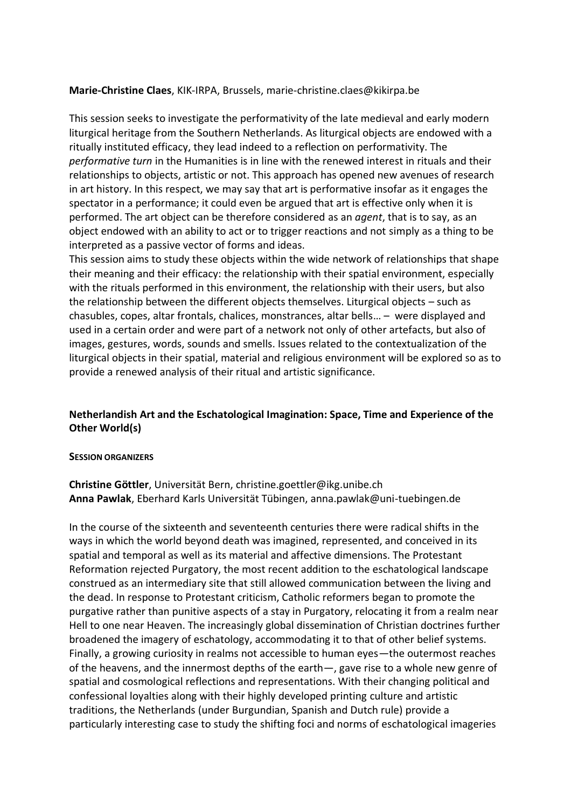## **Marie-Christine Claes**, KIK-IRPA, Brussels, marie-christine.claes@kikirpa.be

This session seeks to investigate the performativity of the late medieval and early modern liturgical heritage from the Southern Netherlands. As liturgical objects are endowed with a ritually instituted efficacy, they lead indeed to a reflection on performativity. The *performative turn* in the Humanities is in line with the renewed interest in rituals and their relationships to objects, artistic or not. This approach has opened new avenues of research in art history. In this respect, we may say that art is performative insofar as it engages the spectator in a performance; it could even be argued that art is effective only when it is performed. The art object can be therefore considered as an *agent*, that is to say, as an object endowed with an ability to act or to trigger reactions and not simply as a thing to be interpreted as a passive vector of forms and ideas.

This session aims to study these objects within the wide network of relationships that shape their meaning and their efficacy: the relationship with their spatial environment, especially with the rituals performed in this environment, the relationship with their users, but also the relationship between the different objects themselves. Liturgical objects – such as chasubles, copes, altar frontals, chalices, monstrances, altar bells… – were displayed and used in a certain order and were part of a network not only of other artefacts, but also of images, gestures, words, sounds and smells. Issues related to the contextualization of the liturgical objects in their spatial, material and religious environment will be explored so as to provide a renewed analysis of their ritual and artistic significance.

# **Netherlandish Art and the Eschatological Imagination: Space, Time and Experience of the Other World(s)**

## **SESSION ORGANIZERS**

**Christine Göttler**, Universität Bern, christine.goettler@ikg.unibe.ch **Anna Pawlak**, Eberhard Karls Universität Tübingen, anna.pawlak@uni-tuebingen.de

In the course of the sixteenth and seventeenth centuries there were radical shifts in the ways in which the world beyond death was imagined, represented, and conceived in its spatial and temporal as well as its material and affective dimensions. The Protestant Reformation rejected Purgatory, the most recent addition to the eschatological landscape construed as an intermediary site that still allowed communication between the living and the dead. In response to Protestant criticism, Catholic reformers began to promote the purgative rather than punitive aspects of a stay in Purgatory, relocating it from a realm near Hell to one near Heaven. The increasingly global dissemination of Christian doctrines further broadened the imagery of eschatology, accommodating it to that of other belief systems. Finally, a growing curiosity in realms not accessible to human eyes—the outermost reaches of the heavens, and the innermost depths of the earth—, gave rise to a whole new genre of spatial and cosmological reflections and representations. With their changing political and confessional loyalties along with their highly developed printing culture and artistic traditions, the Netherlands (under Burgundian, Spanish and Dutch rule) provide a particularly interesting case to study the shifting foci and norms of eschatological imageries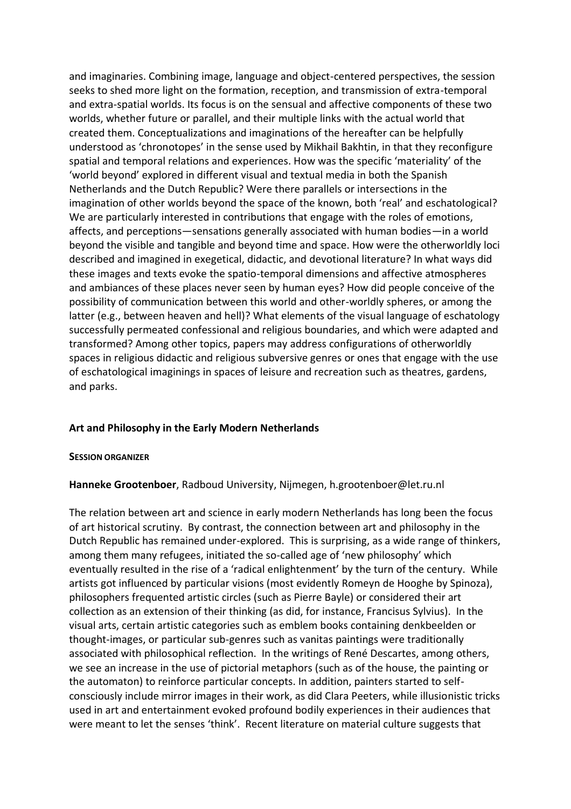and imaginaries. Combining image, language and object-centered perspectives, the session seeks to shed more light on the formation, reception, and transmission of extra-temporal and extra-spatial worlds. Its focus is on the sensual and affective components of these two worlds, whether future or parallel, and their multiple links with the actual world that created them. Conceptualizations and imaginations of the hereafter can be helpfully understood as 'chronotopes' in the sense used by Mikhail Bakhtin, in that they reconfigure spatial and temporal relations and experiences. How was the specific 'materiality' of the 'world beyond' explored in different visual and textual media in both the Spanish Netherlands and the Dutch Republic? Were there parallels or intersections in the imagination of other worlds beyond the space of the known, both 'real' and eschatological? We are particularly interested in contributions that engage with the roles of emotions, affects, and perceptions—sensations generally associated with human bodies—in a world beyond the visible and tangible and beyond time and space. How were the otherworldly loci described and imagined in exegetical, didactic, and devotional literature? In what ways did these images and texts evoke the spatio-temporal dimensions and affective atmospheres and ambiances of these places never seen by human eyes? How did people conceive of the possibility of communication between this world and other-worldly spheres, or among the latter (e.g., between heaven and hell)? What elements of the visual language of eschatology successfully permeated confessional and religious boundaries, and which were adapted and transformed? Among other topics, papers may address configurations of otherworldly spaces in religious didactic and religious subversive genres or ones that engage with the use of eschatological imaginings in spaces of leisure and recreation such as theatres, gardens, and parks.

### **Art and Philosophy in the Early Modern Netherlands**

### **SESSION ORGANIZER**

### **Hanneke Grootenboer**, Radboud University, Nijmegen, h.grootenboer@let.ru.nl

The relation between art and science in early modern Netherlands has long been the focus of art historical scrutiny. By contrast, the connection between art and philosophy in the Dutch Republic has remained under-explored. This is surprising, as a wide range of thinkers, among them many refugees, initiated the so-called age of 'new philosophy' which eventually resulted in the rise of a 'radical enlightenment' by the turn of the century. While artists got influenced by particular visions (most evidently Romeyn de Hooghe by Spinoza), philosophers frequented artistic circles (such as Pierre Bayle) or considered their art collection as an extension of their thinking (as did, for instance, Francisus Sylvius). In the visual arts, certain artistic categories such as emblem books containing denkbeelden or thought-images, or particular sub-genres such as vanitas paintings were traditionally associated with philosophical reflection. In the writings of René Descartes, among others, we see an increase in the use of pictorial metaphors (such as of the house, the painting or the automaton) to reinforce particular concepts. In addition, painters started to selfconsciously include mirror images in their work, as did Clara Peeters, while illusionistic tricks used in art and entertainment evoked profound bodily experiences in their audiences that were meant to let the senses 'think'. Recent literature on material culture suggests that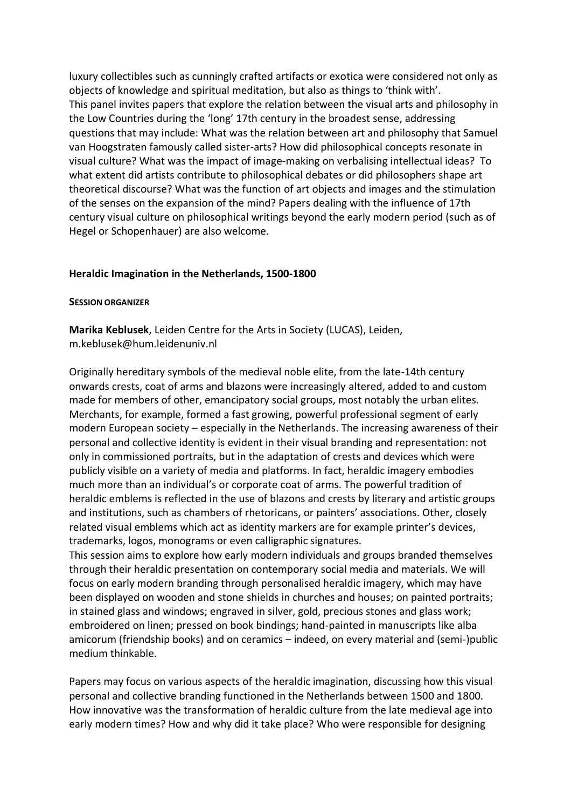luxury collectibles such as cunningly crafted artifacts or exotica were considered not only as objects of knowledge and spiritual meditation, but also as things to 'think with'. This panel invites papers that explore the relation between the visual arts and philosophy in the Low Countries during the 'long' 17th century in the broadest sense, addressing questions that may include: What was the relation between art and philosophy that Samuel van Hoogstraten famously called sister-arts? How did philosophical concepts resonate in visual culture? What was the impact of image-making on verbalising intellectual ideas? To what extent did artists contribute to philosophical debates or did philosophers shape art theoretical discourse? What was the function of art objects and images and the stimulation of the senses on the expansion of the mind? Papers dealing with the influence of 17th century visual culture on philosophical writings beyond the early modern period (such as of Hegel or Schopenhauer) are also welcome.

### **Heraldic Imagination in the Netherlands, 1500-1800**

#### **SESSION ORGANIZER**

**Marika Keblusek**, Leiden Centre for the Arts in Society (LUCAS), Leiden, m.keblusek@hum.leidenuniv.nl

Originally hereditary symbols of the medieval noble elite, from the late-14th century onwards crests, coat of arms and blazons were increasingly altered, added to and custom made for members of other, emancipatory social groups, most notably the urban elites. Merchants, for example, formed a fast growing, powerful professional segment of early modern European society – especially in the Netherlands. The increasing awareness of their personal and collective identity is evident in their visual branding and representation: not only in commissioned portraits, but in the adaptation of crests and devices which were publicly visible on a variety of media and platforms. In fact, heraldic imagery embodies much more than an individual's or corporate coat of arms. The powerful tradition of heraldic emblems is reflected in the use of blazons and crests by literary and artistic groups and institutions, such as chambers of rhetoricans, or painters' associations. Other, closely related visual emblems which act as identity markers are for example printer's devices, trademarks, logos, monograms or even calligraphic signatures.

This session aims to explore how early modern individuals and groups branded themselves through their heraldic presentation on contemporary social media and materials. We will focus on early modern branding through personalised heraldic imagery, which may have been displayed on wooden and stone shields in churches and houses; on painted portraits; in stained glass and windows; engraved in silver, gold, precious stones and glass work; embroidered on linen; pressed on book bindings; hand-painted in manuscripts like alba amicorum (friendship books) and on ceramics – indeed, on every material and (semi-)public medium thinkable.

Papers may focus on various aspects of the heraldic imagination, discussing how this visual personal and collective branding functioned in the Netherlands between 1500 and 1800. How innovative was the transformation of heraldic culture from the late medieval age into early modern times? How and why did it take place? Who were responsible for designing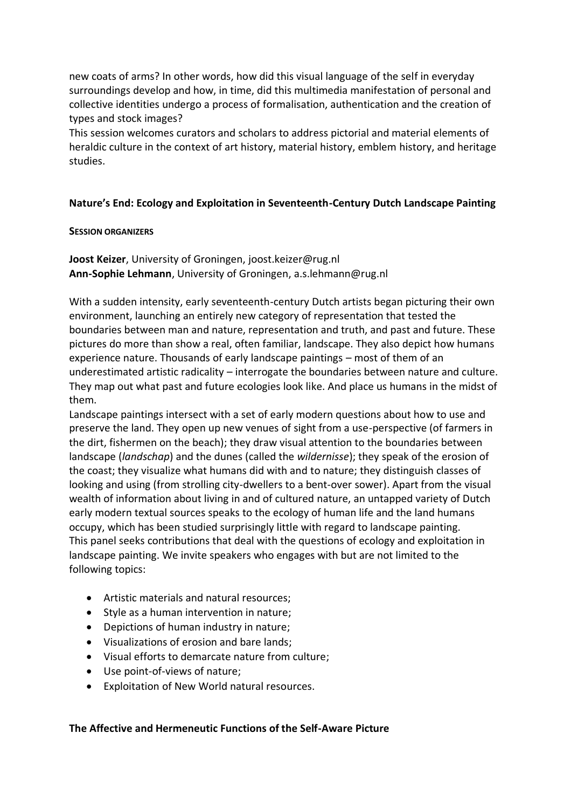new coats of arms? In other words, how did this visual language of the self in everyday surroundings develop and how, in time, did this multimedia manifestation of personal and collective identities undergo a process of formalisation, authentication and the creation of types and stock images?

This session welcomes curators and scholars to address pictorial and material elements of heraldic culture in the context of art history, material history, emblem history, and heritage studies.

# **Nature's End: Ecology and Exploitation in Seventeenth-Century Dutch Landscape Painting**

## **SESSION ORGANIZERS**

**Joost Keizer**, University of Groningen, joost.keizer@rug.nl **Ann-Sophie Lehmann**, University of Groningen, a.s.lehmann@rug.nl

With a sudden intensity, early seventeenth-century Dutch artists began picturing their own environment, launching an entirely new category of representation that tested the boundaries between man and nature, representation and truth, and past and future. These pictures do more than show a real, often familiar, landscape. They also depict how humans experience nature. Thousands of early landscape paintings – most of them of an underestimated artistic radicality – interrogate the boundaries between nature and culture. They map out what past and future ecologies look like. And place us humans in the midst of them.

Landscape paintings intersect with a set of early modern questions about how to use and preserve the land. They open up new venues of sight from a use-perspective (of farmers in the dirt, fishermen on the beach); they draw visual attention to the boundaries between landscape (*landschap*) and the dunes (called the *wildernisse*); they speak of the erosion of the coast; they visualize what humans did with and to nature; they distinguish classes of looking and using (from strolling city-dwellers to a bent-over sower). Apart from the visual wealth of information about living in and of cultured nature, an untapped variety of Dutch early modern textual sources speaks to the ecology of human life and the land humans occupy, which has been studied surprisingly little with regard to landscape painting. This panel seeks contributions that deal with the questions of ecology and exploitation in landscape painting. We invite speakers who engages with but are not limited to the following topics:

- Artistic materials and natural resources;
- Style as a human intervention in nature;
- Depictions of human industry in nature;
- Visualizations of erosion and bare lands;
- Visual efforts to demarcate nature from culture;
- Use point-of-views of nature;
- Exploitation of New World natural resources.

## **The Affective and Hermeneutic Functions of the Self-Aware Picture**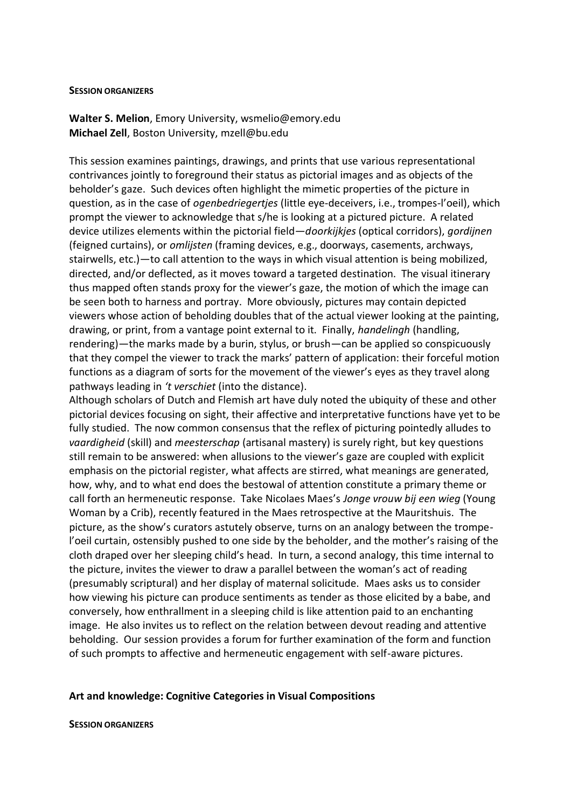#### **SESSION ORGANIZERS**

**Walter S. Melion**, Emory University, wsmelio@emory.edu **Michael Zell**, Boston University, mzell@bu.edu

This session examines paintings, drawings, and prints that use various representational contrivances jointly to foreground their status as pictorial images and as objects of the beholder's gaze. Such devices often highlight the mimetic properties of the picture in question, as in the case of *ogenbedriegertjes* (little eye-deceivers, i.e., trompes-l'oeil), which prompt the viewer to acknowledge that s/he is looking at a pictured picture. A related device utilizes elements within the pictorial field—*doorkijkjes* (optical corridors), *gordijnen* (feigned curtains), or *omlijsten* (framing devices, e.g., doorways, casements, archways, stairwells, etc.)—to call attention to the ways in which visual attention is being mobilized, directed, and/or deflected, as it moves toward a targeted destination. The visual itinerary thus mapped often stands proxy for the viewer's gaze, the motion of which the image can be seen both to harness and portray. More obviously, pictures may contain depicted viewers whose action of beholding doubles that of the actual viewer looking at the painting, drawing, or print, from a vantage point external to it. Finally, *handelingh* (handling, rendering)—the marks made by a burin, stylus, or brush—can be applied so conspicuously that they compel the viewer to track the marks' pattern of application: their forceful motion functions as a diagram of sorts for the movement of the viewer's eyes as they travel along pathways leading in *'t verschiet* (into the distance).

Although scholars of Dutch and Flemish art have duly noted the ubiquity of these and other pictorial devices focusing on sight, their affective and interpretative functions have yet to be fully studied. The now common consensus that the reflex of picturing pointedly alludes to *vaardigheid* (skill) and *meesterschap* (artisanal mastery) is surely right, but key questions still remain to be answered: when allusions to the viewer's gaze are coupled with explicit emphasis on the pictorial register, what affects are stirred, what meanings are generated, how, why, and to what end does the bestowal of attention constitute a primary theme or call forth an hermeneutic response. Take Nicolaes Maes's *Jonge vrouw bij een wieg* (Young Woman by a Crib), recently featured in the Maes retrospective at the Mauritshuis. The picture, as the show's curators astutely observe, turns on an analogy between the trompel'oeil curtain, ostensibly pushed to one side by the beholder, and the mother's raising of the cloth draped over her sleeping child's head. In turn, a second analogy, this time internal to the picture, invites the viewer to draw a parallel between the woman's act of reading (presumably scriptural) and her display of maternal solicitude. Maes asks us to consider how viewing his picture can produce sentiments as tender as those elicited by a babe, and conversely, how enthrallment in a sleeping child is like attention paid to an enchanting image. He also invites us to reflect on the relation between devout reading and attentive beholding. Our session provides a forum for further examination of the form and function of such prompts to affective and hermeneutic engagement with self-aware pictures.

### **Art and knowledge: Cognitive Categories in Visual Compositions**

#### **SESSION ORGANIZERS**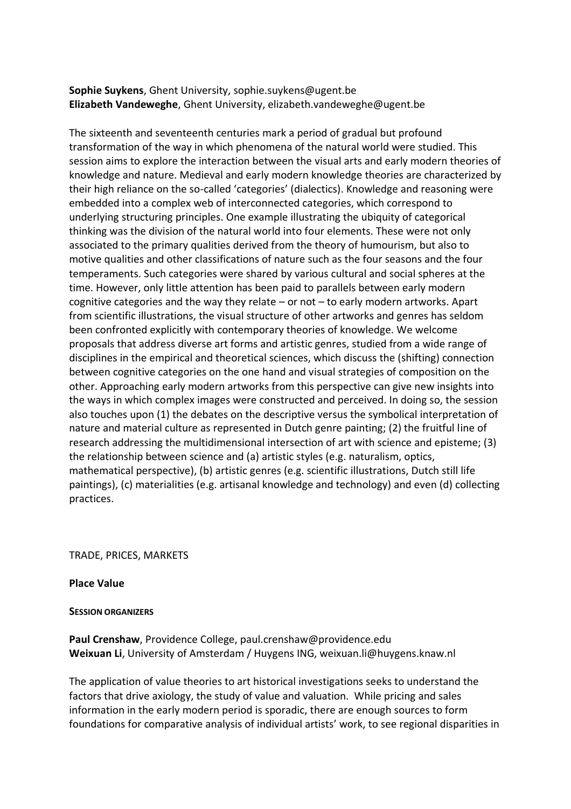## **Sophie Suykens**, Ghent University, sophie.suykens@ugent.be **Elizabeth Vandeweghe**, Ghent University, elizabeth.vandeweghe@ugent.be

The sixteenth and seventeenth centuries mark a period of gradual but profound transformation of the way in which phenomena of the natural world were studied. This session aims to explore the interaction between the visual arts and early modern theories of knowledge and nature. Medieval and early modern knowledge theories are characterized by their high reliance on the so-called 'categories' (dialectics). Knowledge and reasoning were embedded into a complex web of interconnected categories, which correspond to underlying structuring principles. One example illustrating the ubiquity of categorical thinking was the division of the natural world into four elements. These were not only associated to the primary qualities derived from the theory of humourism, but also to motive qualities and other classifications of nature such as the four seasons and the four temperaments. Such categories were shared by various cultural and social spheres at the time. However, only little attention has been paid to parallels between early modern cognitive categories and the way they relate – or not – to early modern artworks. Apart from scientific illustrations, the visual structure of other artworks and genres has seldom been confronted explicitly with contemporary theories of knowledge. We welcome proposals that address diverse art forms and artistic genres, studied from a wide range of disciplines in the empirical and theoretical sciences, which discuss the (shifting) connection between cognitive categories on the one hand and visual strategies of composition on the other. Approaching early modern artworks from this perspective can give new insights into the ways in which complex images were constructed and perceived. In doing so, the session also touches upon (1) the debates on the descriptive versus the symbolical interpretation of nature and material culture as represented in Dutch genre painting; (2) the fruitful line of research addressing the multidimensional intersection of art with science and episteme; (3) the relationship between science and (a) artistic styles (e.g. naturalism, optics, mathematical perspective), (b) artistic genres (e.g. scientific illustrations, Dutch still life paintings), (c) materialities (e.g. artisanal knowledge and technology) and even (d) collecting practices.

TRADE, PRICES, MARKETS

### **Place Value**

### **SESSION ORGANIZERS**

**Paul Crenshaw**, Providence College, paul.crenshaw@providence.edu **Weixuan Li**, University of Amsterdam / Huygens ING, weixuan.li@huygens.knaw.nl

The application of value theories to art historical investigations seeks to understand the factors that drive axiology, the study of value and valuation. While pricing and sales information in the early modern period is sporadic, there are enough sources to form foundations for comparative analysis of individual artists' work, to see regional disparities in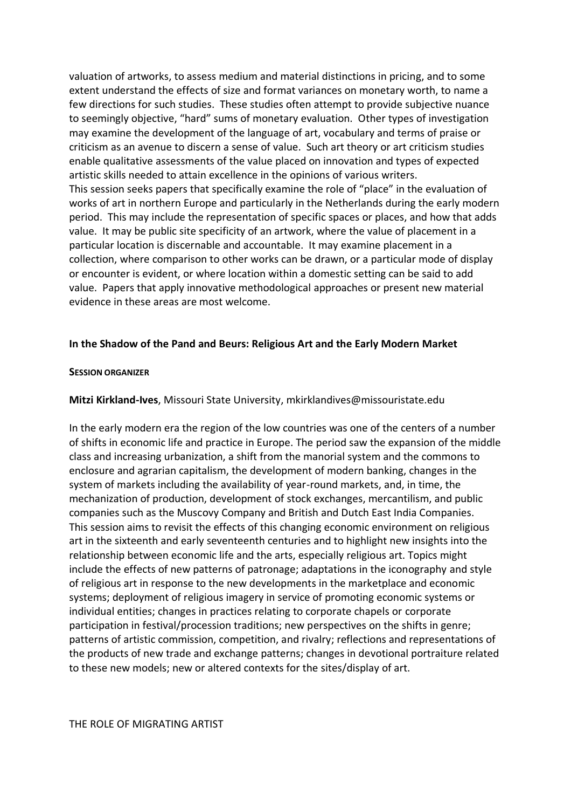valuation of artworks, to assess medium and material distinctions in pricing, and to some extent understand the effects of size and format variances on monetary worth, to name a few directions for such studies. These studies often attempt to provide subjective nuance to seemingly objective, "hard" sums of monetary evaluation. Other types of investigation may examine the development of the language of art, vocabulary and terms of praise or criticism as an avenue to discern a sense of value. Such art theory or art criticism studies enable qualitative assessments of the value placed on innovation and types of expected artistic skills needed to attain excellence in the opinions of various writers. This session seeks papers that specifically examine the role of "place" in the evaluation of works of art in northern Europe and particularly in the Netherlands during the early modern period. This may include the representation of specific spaces or places, and how that adds value. It may be public site specificity of an artwork, where the value of placement in a particular location is discernable and accountable. It may examine placement in a collection, where comparison to other works can be drawn, or a particular mode of display or encounter is evident, or where location within a domestic setting can be said to add value. Papers that apply innovative methodological approaches or present new material evidence in these areas are most welcome.

### **In the Shadow of the Pand and Beurs: Religious Art and the Early Modern Market**

### **SESSION ORGANIZER**

### **Mitzi Kirkland-Ives**, Missouri State University, mkirklandives@missouristate.edu

In the early modern era the region of the low countries was one of the centers of a number of shifts in economic life and practice in Europe. The period saw the expansion of the middle class and increasing urbanization, a shift from the manorial system and the commons to enclosure and agrarian capitalism, the development of modern banking, changes in the system of markets including the availability of year-round markets, and, in time, the mechanization of production, development of stock exchanges, mercantilism, and public companies such as the Muscovy Company and British and Dutch East India Companies. This session aims to revisit the effects of this changing economic environment on religious art in the sixteenth and early seventeenth centuries and to highlight new insights into the relationship between economic life and the arts, especially religious art. Topics might include the effects of new patterns of patronage; adaptations in the iconography and style of religious art in response to the new developments in the marketplace and economic systems; deployment of religious imagery in service of promoting economic systems or individual entities; changes in practices relating to corporate chapels or corporate participation in festival/procession traditions; new perspectives on the shifts in genre; patterns of artistic commission, competition, and rivalry; reflections and representations of the products of new trade and exchange patterns; changes in devotional portraiture related to these new models; new or altered contexts for the sites/display of art.

### THE ROLE OF MIGRATING ARTIST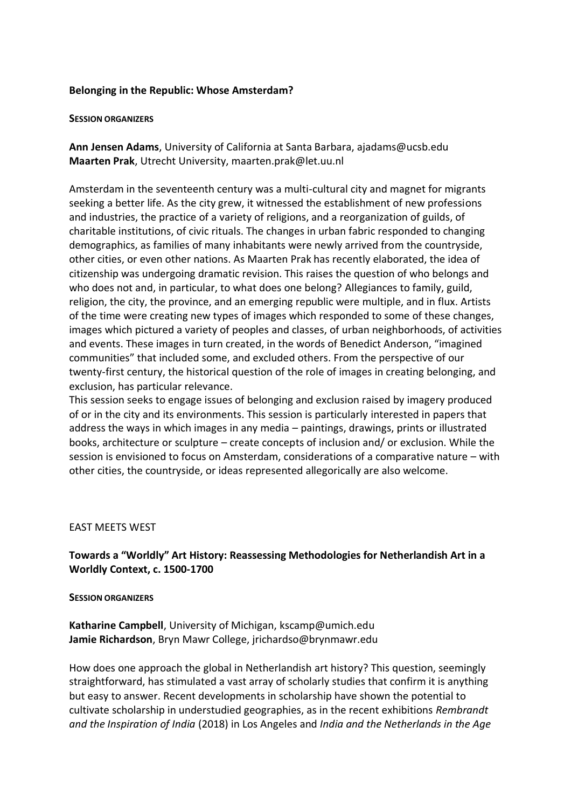## **Belonging in the Republic: Whose Amsterdam?**

#### **SESSION ORGANIZERS**

**Ann Jensen Adams**, University of California at Santa Barbara, ajadams@ucsb.edu **Maarten Prak**, Utrecht University, maarten.prak@let.uu.nl

Amsterdam in the seventeenth century was a multi-cultural city and magnet for migrants seeking a better life. As the city grew, it witnessed the establishment of new professions and industries, the practice of a variety of religions, and a reorganization of guilds, of charitable institutions, of civic rituals. The changes in urban fabric responded to changing demographics, as families of many inhabitants were newly arrived from the countryside, other cities, or even other nations. As Maarten Prak has recently elaborated, the idea of citizenship was undergoing dramatic revision. This raises the question of who belongs and who does not and, in particular, to what does one belong? Allegiances to family, guild, religion, the city, the province, and an emerging republic were multiple, and in flux. Artists of the time were creating new types of images which responded to some of these changes, images which pictured a variety of peoples and classes, of urban neighborhoods, of activities and events. These images in turn created, in the words of Benedict Anderson, "imagined communities" that included some, and excluded others. From the perspective of our twenty-first century, the historical question of the role of images in creating belonging, and exclusion, has particular relevance.

This session seeks to engage issues of belonging and exclusion raised by imagery produced of or in the city and its environments. This session is particularly interested in papers that address the ways in which images in any media – paintings, drawings, prints or illustrated books, architecture or sculpture – create concepts of inclusion and/ or exclusion. While the session is envisioned to focus on Amsterdam, considerations of a comparative nature – with other cities, the countryside, or ideas represented allegorically are also welcome.

### EAST MEETS WEST

**Towards a "Worldly" Art History: Reassessing Methodologies for Netherlandish Art in a Worldly Context, c. 1500-1700**

#### **SESSION ORGANIZERS**

**Katharine Campbell**, University of Michigan, kscamp@umich.edu **Jamie Richardson**, Bryn Mawr College, jrichardso@brynmawr.edu

How does one approach the global in Netherlandish art history? This question, seemingly straightforward, has stimulated a vast array of scholarly studies that confirm it is anything but easy to answer. Recent developments in scholarship have shown the potential to cultivate scholarship in understudied geographies, as in the recent exhibitions *Rembrandt and the Inspiration of India* (2018) in Los Angeles and *India and the Netherlands in the Age*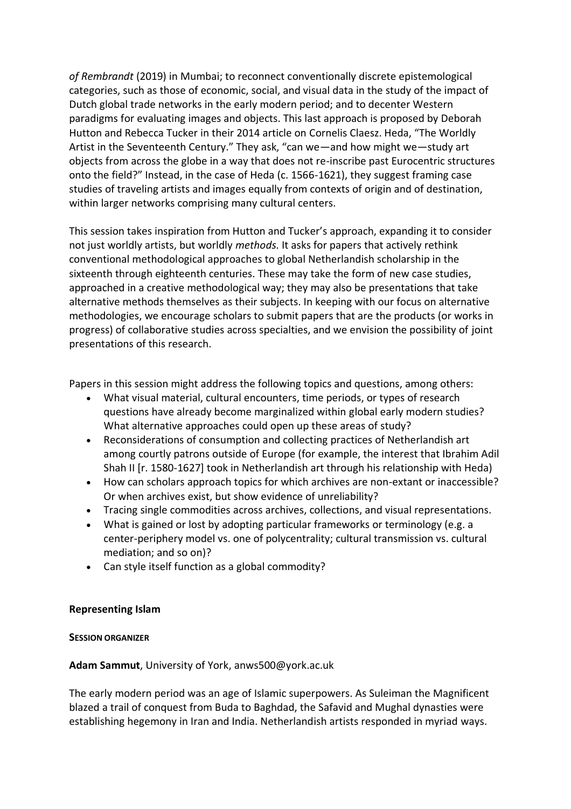*of Rembrandt* (2019) in Mumbai; to reconnect conventionally discrete epistemological categories, such as those of economic, social, and visual data in the study of the impact of Dutch global trade networks in the early modern period; and to decenter Western paradigms for evaluating images and objects. This last approach is proposed by Deborah Hutton and Rebecca Tucker in their 2014 article on Cornelis Claesz. Heda, "The Worldly Artist in the Seventeenth Century." They ask, "can we—and how might we—study art objects from across the globe in a way that does not re-inscribe past Eurocentric structures onto the field?" Instead, in the case of Heda (c. 1566-1621), they suggest framing case studies of traveling artists and images equally from contexts of origin and of destination, within larger networks comprising many cultural centers.

This session takes inspiration from Hutton and Tucker's approach, expanding it to consider not just worldly artists, but worldly *methods.* It asks for papers that actively rethink conventional methodological approaches to global Netherlandish scholarship in the sixteenth through eighteenth centuries. These may take the form of new case studies, approached in a creative methodological way; they may also be presentations that take alternative methods themselves as their subjects. In keeping with our focus on alternative methodologies, we encourage scholars to submit papers that are the products (or works in progress) of collaborative studies across specialties, and we envision the possibility of joint presentations of this research.

Papers in this session might address the following topics and questions, among others:

- What visual material, cultural encounters, time periods, or types of research questions have already become marginalized within global early modern studies? What alternative approaches could open up these areas of study?
- Reconsiderations of consumption and collecting practices of Netherlandish art among courtly patrons outside of Europe (for example, the interest that Ibrahim Adil Shah II [r. 1580-1627] took in Netherlandish art through his relationship with Heda)
- How can scholars approach topics for which archives are non-extant or inaccessible? Or when archives exist, but show evidence of unreliability?
- Tracing single commodities across archives, collections, and visual representations.
- What is gained or lost by adopting particular frameworks or terminology (e.g. a center-periphery model vs. one of polycentrality; cultural transmission vs. cultural mediation; and so on)?
- Can style itself function as a global commodity?

# **Representing Islam**

## **SESSION ORGANIZER**

**Adam Sammut**, University of York, anws500@york.ac.uk

The early modern period was an age of Islamic superpowers. As Suleiman the Magnificent blazed a trail of conquest from Buda to Baghdad, the Safavid and Mughal dynasties were establishing hegemony in Iran and India. Netherlandish artists responded in myriad ways.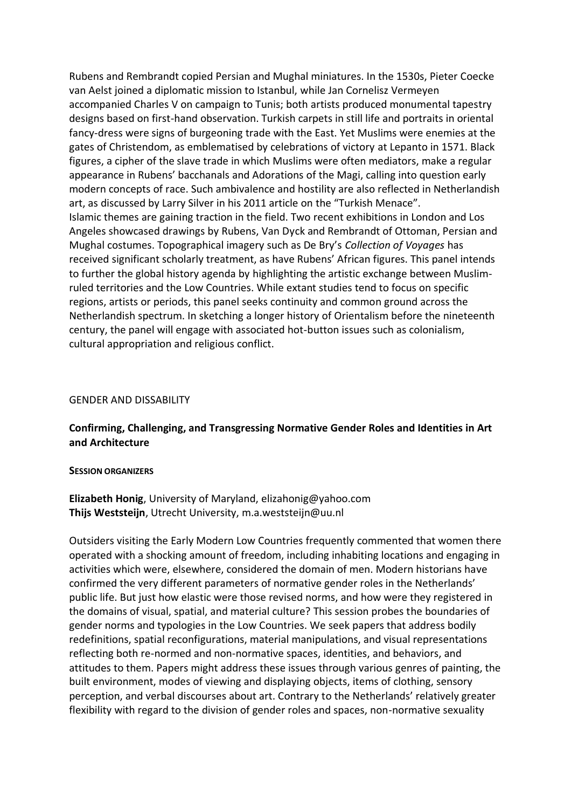Rubens and Rembrandt copied Persian and Mughal miniatures. In the 1530s, Pieter Coecke van Aelst joined a diplomatic mission to Istanbul, while Jan Cornelisz Vermeyen accompanied Charles V on campaign to Tunis; both artists produced monumental tapestry designs based on first-hand observation. Turkish carpets in still life and portraits in oriental fancy-dress were signs of burgeoning trade with the East. Yet Muslims were enemies at the gates of Christendom, as emblematised by celebrations of victory at Lepanto in 1571. Black figures, a cipher of the slave trade in which Muslims were often mediators, make a regular appearance in Rubens' bacchanals and Adorations of the Magi, calling into question early modern concepts of race. Such ambivalence and hostility are also reflected in Netherlandish art, as discussed by Larry Silver in his 2011 article on the "Turkish Menace". Islamic themes are gaining traction in the field. Two recent exhibitions in London and Los Angeles showcased drawings by Rubens, Van Dyck and Rembrandt of Ottoman, Persian and Mughal costumes. Topographical imagery such as De Bry's *Collection of Voyages* has received significant scholarly treatment, as have Rubens' African figures. This panel intends to further the global history agenda by highlighting the artistic exchange between Muslimruled territories and the Low Countries. While extant studies tend to focus on specific regions, artists or periods, this panel seeks continuity and common ground across the Netherlandish spectrum. In sketching a longer history of Orientalism before the nineteenth century, the panel will engage with associated hot-button issues such as colonialism, cultural appropriation and religious conflict.

### GENDER AND DISSABILITY

## **Confirming, Challenging, and Transgressing Normative Gender Roles and Identities in Art and Architecture**

### **SESSION ORGANIZERS**

**Elizabeth Honig**, University of Maryland, elizahonig@yahoo.com **Thijs Weststeijn**, Utrecht University, m.a.weststeijn@uu.nl

Outsiders visiting the Early Modern Low Countries frequently commented that women there operated with a shocking amount of freedom, including inhabiting locations and engaging in activities which were, elsewhere, considered the domain of men. Modern historians have confirmed the very different parameters of normative gender roles in the Netherlands' public life. But just how elastic were those revised norms, and how were they registered in the domains of visual, spatial, and material culture? This session probes the boundaries of gender norms and typologies in the Low Countries. We seek papers that address bodily redefinitions, spatial reconfigurations, material manipulations, and visual representations reflecting both re-normed and non-normative spaces, identities, and behaviors, and attitudes to them. Papers might address these issues through various genres of painting, the built environment, modes of viewing and displaying objects, items of clothing, sensory perception, and verbal discourses about art. Contrary to the Netherlands' relatively greater flexibility with regard to the division of gender roles and spaces, non-normative sexuality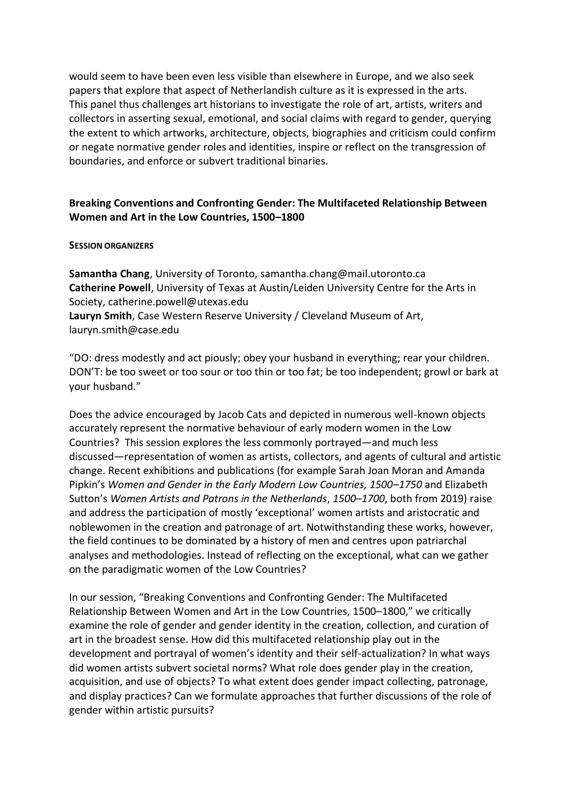would seem to have been even less visible than elsewhere in Europe, and we also seek papers that explore that aspect of Netherlandish culture as it is expressed in the arts. This panel thus challenges art historians to investigate the role of art, artists, writers and collectors in asserting sexual, emotional, and social claims with regard to gender, querying the extent to which artworks, architecture, objects, biographies and criticism could confirm or negate normative gender roles and identities, inspire or reflect on the transgression of boundaries, and enforce or subvert traditional binaries.

# **Breaking Conventions and Confronting Gender: The Multifaceted Relationship Between Women and Art in the Low Countries, 1500–1800**

### **SESSION ORGANIZERS**

**Samantha Chang**, University of Toronto, samantha.chang@mail.utoronto.ca **Catherine Powell**, University of Texas at Austin/Leiden University Centre for the Arts in Society, catherine.powell@utexas.edu **Lauryn Smith**, Case Western Reserve University / Cleveland Museum of Art, lauryn.smith@case.edu

"DO: dress modestly and act piously; obey your husband in everything; rear your children. DON'T: be too sweet or too sour or too thin or too fat; be too independent; growl or bark at your husband."

Does the advice encouraged by Jacob Cats and depicted in numerous well-known objects accurately represent the normative behaviour of early modern women in the Low Countries? This session explores the less commonly portrayed―and much less discussed―representation of women as artists, collectors, and agents of cultural and artistic change. Recent exhibitions and publications (for example Sarah Joan Moran and Amanda Pipkin's *Women and Gender in the Early Modern Low Countries, 1500–1750* and Elizabeth Sutton's *Women Artists and Patrons in the Netherlands*, *1500–1700*, both from 2019) raise and address the participation of mostly 'exceptional' women artists and aristocratic and noblewomen in the creation and patronage of art. Notwithstanding these works, however, the field continues to be dominated by a history of men and centres upon patriarchal analyses and methodologies. Instead of reflecting on the exceptional, what can we gather on the paradigmatic women of the Low Countries?

In our session, "Breaking Conventions and Confronting Gender: The Multifaceted Relationship Between Women and Art in the Low Countries, 1500–1800," we critically examine the role of gender and gender identity in the creation, collection, and curation of art in the broadest sense. How did this multifaceted relationship play out in the development and portrayal of women's identity and their self-actualization? In what ways did women artists subvert societal norms? What role does gender play in the creation, acquisition, and use of objects? To what extent does gender impact collecting, patronage, and display practices? Can we formulate approaches that further discussions of the role of gender within artistic pursuits?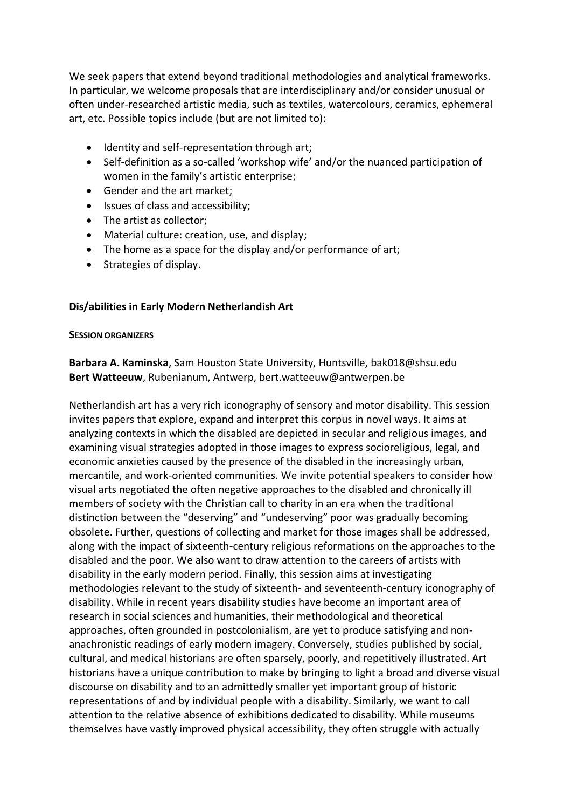We seek papers that extend beyond traditional methodologies and analytical frameworks. In particular, we welcome proposals that are interdisciplinary and/or consider unusual or often under-researched artistic media, such as textiles, watercolours, ceramics, ephemeral art, etc. Possible topics include (but are not limited to):

- Identity and self-representation through art;
- Self-definition as a so-called 'workshop wife' and/or the nuanced participation of women in the family's artistic enterprise;
- Gender and the art market;
- Issues of class and accessibility;
- The artist as collector;
- Material culture: creation, use, and display;
- The home as a space for the display and/or performance of art;
- Strategies of display.

## **Dis/abilities in Early Modern Netherlandish Art**

### **SESSION ORGANIZERS**

**Barbara A. Kaminska**, Sam Houston State University, Huntsville, bak018@shsu.edu **Bert Watteeuw**, Rubenianum, Antwerp, bert.watteeuw@antwerpen.be

Netherlandish art has a very rich iconography of sensory and motor disability. This session invites papers that explore, expand and interpret this corpus in novel ways. It aims at analyzing contexts in which the disabled are depicted in secular and religious images, and examining visual strategies adopted in those images to express socioreligious, legal, and economic anxieties caused by the presence of the disabled in the increasingly urban, mercantile, and work-oriented communities. We invite potential speakers to consider how visual arts negotiated the often negative approaches to the disabled and chronically ill members of society with the Christian call to charity in an era when the traditional distinction between the "deserving" and "undeserving" poor was gradually becoming obsolete. Further, questions of collecting and market for those images shall be addressed, along with the impact of sixteenth-century religious reformations on the approaches to the disabled and the poor. We also want to draw attention to the careers of artists with disability in the early modern period. Finally, this session aims at investigating methodologies relevant to the study of sixteenth- and seventeenth-century iconography of disability. While in recent years disability studies have become an important area of research in social sciences and humanities, their methodological and theoretical approaches, often grounded in postcolonialism, are yet to produce satisfying and nonanachronistic readings of early modern imagery. Conversely, studies published by social, cultural, and medical historians are often sparsely, poorly, and repetitively illustrated. Art historians have a unique contribution to make by bringing to light a broad and diverse visual discourse on disability and to an admittedly smaller yet important group of historic representations of and by individual people with a disability. Similarly, we want to call attention to the relative absence of exhibitions dedicated to disability. While museums themselves have vastly improved physical accessibility, they often struggle with actually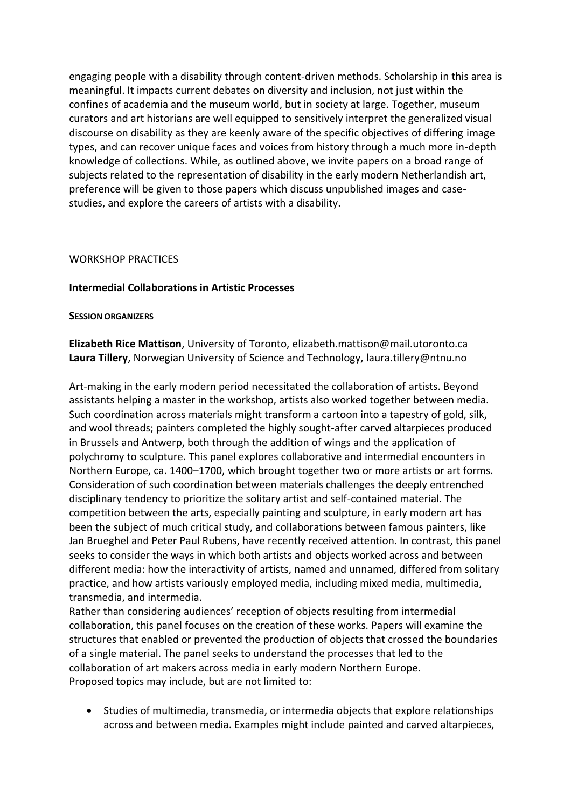engaging people with a disability through content-driven methods. Scholarship in this area is meaningful. It impacts current debates on diversity and inclusion, not just within the confines of academia and the museum world, but in society at large. Together, museum curators and art historians are well equipped to sensitively interpret the generalized visual discourse on disability as they are keenly aware of the specific objectives of differing image types, and can recover unique faces and voices from history through a much more in-depth knowledge of collections. While, as outlined above, we invite papers on a broad range of subjects related to the representation of disability in the early modern Netherlandish art, preference will be given to those papers which discuss unpublished images and casestudies, and explore the careers of artists with a disability.

## WORKSHOP PRACTICES

## **Intermedial Collaborations in Artistic Processes**

### **SESSION ORGANIZERS**

**Elizabeth Rice Mattison**, University of Toronto, elizabeth.mattison@mail.utoronto.ca **Laura Tillery**, Norwegian University of Science and Technology, laura.tillery@ntnu.no

Art-making in the early modern period necessitated the collaboration of artists. Beyond assistants helping a master in the workshop, artists also worked together between media. Such coordination across materials might transform a cartoon into a tapestry of gold, silk, and wool threads; painters completed the highly sought-after carved altarpieces produced in Brussels and Antwerp, both through the addition of wings and the application of polychromy to sculpture. This panel explores collaborative and intermedial encounters in Northern Europe, ca. 1400–1700, which brought together two or more artists or art forms. Consideration of such coordination between materials challenges the deeply entrenched disciplinary tendency to prioritize the solitary artist and self-contained material. The competition between the arts, especially painting and sculpture, in early modern art has been the subject of much critical study, and collaborations between famous painters, like Jan Brueghel and Peter Paul Rubens, have recently received attention. In contrast, this panel seeks to consider the ways in which both artists and objects worked across and between different media: how the interactivity of artists, named and unnamed, differed from solitary practice, and how artists variously employed media, including mixed media, multimedia, transmedia, and intermedia.

Rather than considering audiences' reception of objects resulting from intermedial collaboration, this panel focuses on the creation of these works. Papers will examine the structures that enabled or prevented the production of objects that crossed the boundaries of a single material. The panel seeks to understand the processes that led to the collaboration of art makers across media in early modern Northern Europe. Proposed topics may include, but are not limited to:

• Studies of multimedia, transmedia, or intermedia objects that explore relationships across and between media. Examples might include painted and carved altarpieces,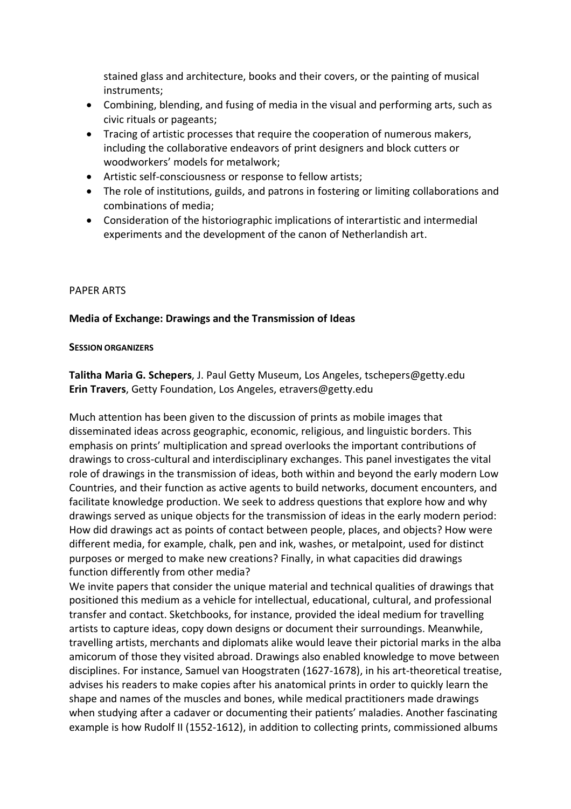stained glass and architecture, books and their covers, or the painting of musical instruments;

- Combining, blending, and fusing of media in the visual and performing arts, such as civic rituals or pageants;
- Tracing of artistic processes that require the cooperation of numerous makers, including the collaborative endeavors of print designers and block cutters or woodworkers' models for metalwork;
- Artistic self-consciousness or response to fellow artists;
- The role of institutions, guilds, and patrons in fostering or limiting collaborations and combinations of media;
- Consideration of the historiographic implications of interartistic and intermedial experiments and the development of the canon of Netherlandish art.

## PAPER ARTS

## **Media of Exchange: Drawings and the Transmission of Ideas**

### **SESSION ORGANIZERS**

**Talitha Maria G. Schepers**, J. Paul Getty Museum, Los Angeles, tschepers@getty.edu **Erin Travers**, Getty Foundation, Los Angeles, etravers@getty.edu

Much attention has been given to the discussion of prints as mobile images that disseminated ideas across geographic, economic, religious, and linguistic borders. This emphasis on prints' multiplication and spread overlooks the important contributions of drawings to cross-cultural and interdisciplinary exchanges. This panel investigates the vital role of drawings in the transmission of ideas, both within and beyond the early modern Low Countries, and their function as active agents to build networks, document encounters, and facilitate knowledge production. We seek to address questions that explore how and why drawings served as unique objects for the transmission of ideas in the early modern period: How did drawings act as points of contact between people, places, and objects? How were different media, for example, chalk, pen and ink, washes, or metalpoint, used for distinct purposes or merged to make new creations? Finally, in what capacities did drawings function differently from other media?

We invite papers that consider the unique material and technical qualities of drawings that positioned this medium as a vehicle for intellectual, educational, cultural, and professional transfer and contact. Sketchbooks, for instance, provided the ideal medium for travelling artists to capture ideas, copy down designs or document their surroundings. Meanwhile, travelling artists, merchants and diplomats alike would leave their pictorial marks in the alba amicorum of those they visited abroad. Drawings also enabled knowledge to move between disciplines. For instance, Samuel van Hoogstraten (1627-1678), in his art-theoretical treatise, advises his readers to make copies after his anatomical prints in order to quickly learn the shape and names of the muscles and bones, while medical practitioners made drawings when studying after a cadaver or documenting their patients' maladies. Another fascinating example is how Rudolf II (1552-1612), in addition to collecting prints, commissioned albums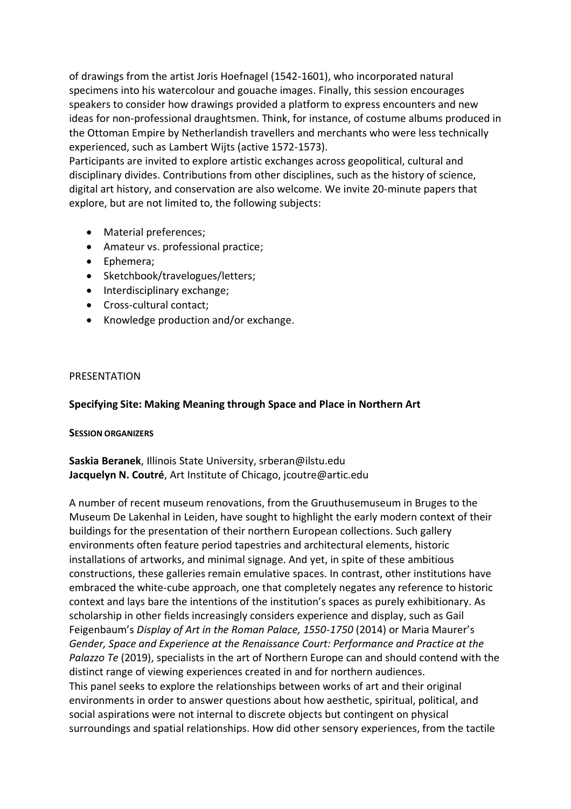of drawings from the artist Joris Hoefnagel (1542-1601), who incorporated natural specimens into his watercolour and gouache images. Finally, this session encourages speakers to consider how drawings provided a platform to express encounters and new ideas for non-professional draughtsmen. Think, for instance, of costume albums produced in the Ottoman Empire by Netherlandish travellers and merchants who were less technically experienced, such as Lambert Wijts (active 1572-1573).

Participants are invited to explore artistic exchanges across geopolitical, cultural and disciplinary divides. Contributions from other disciplines, such as the history of science, digital art history, and conservation are also welcome. We invite 20-minute papers that explore, but are not limited to, the following subjects:

- Material preferences;
- Amateur vs. professional practice;
- Ephemera;
- Sketchbook/travelogues/letters;
- Interdisciplinary exchange;
- Cross-cultural contact;
- Knowledge production and/or exchange.

## PRESENTATION

# **Specifying Site: Making Meaning through Space and Place in Northern Art**

## **SESSION ORGANIZERS**

**Saskia Beranek**, Illinois State University, srberan@ilstu.edu **Jacquelyn N. Coutré**, Art Institute of Chicago, jcoutre@artic.edu

A number of recent museum renovations, from the Gruuthusemuseum in Bruges to the Museum De Lakenhal in Leiden, have sought to highlight the early modern context of their buildings for the presentation of their northern European collections. Such gallery environments often feature period tapestries and architectural elements, historic installations of artworks, and minimal signage. And yet, in spite of these ambitious constructions, these galleries remain emulative spaces. In contrast, other institutions have embraced the white-cube approach, one that completely negates any reference to historic context and lays bare the intentions of the institution's spaces as purely exhibitionary. As scholarship in other fields increasingly considers experience and display, such as Gail Feigenbaum's *Display of Art in the Roman Palace, 1550-1750* (2014) or Maria Maurer's *Gender, Space and Experience at the Renaissance Court: Performance and Practice at the Palazzo Te* (2019), specialists in the art of Northern Europe can and should contend with the distinct range of viewing experiences created in and for northern audiences. This panel seeks to explore the relationships between works of art and their original environments in order to answer questions about how aesthetic, spiritual, political, and social aspirations were not internal to discrete objects but contingent on physical surroundings and spatial relationships. How did other sensory experiences, from the tactile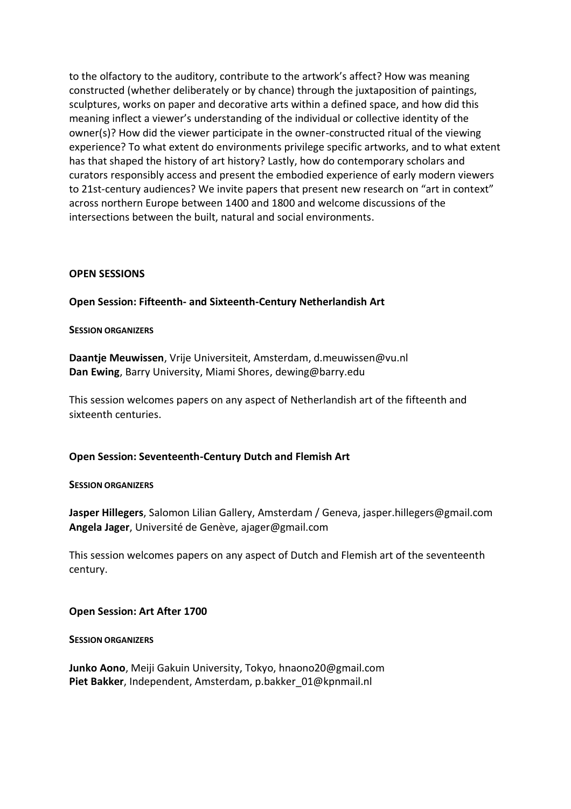to the olfactory to the auditory, contribute to the artwork's affect? How was meaning constructed (whether deliberately or by chance) through the juxtaposition of paintings, sculptures, works on paper and decorative arts within a defined space, and how did this meaning inflect a viewer's understanding of the individual or collective identity of the owner(s)? How did the viewer participate in the owner-constructed ritual of the viewing experience? To what extent do environments privilege specific artworks, and to what extent has that shaped the history of art history? Lastly, how do contemporary scholars and curators responsibly access and present the embodied experience of early modern viewers to 21st-century audiences? We invite papers that present new research on "art in context" across northern Europe between 1400 and 1800 and welcome discussions of the intersections between the built, natural and social environments.

### **OPEN SESSIONS**

## **Open Session: Fifteenth- and Sixteenth-Century Netherlandish Art**

### **SESSION ORGANIZERS**

**Daantje Meuwissen**, Vrije Universiteit, Amsterdam, d.meuwissen@vu.nl **Dan Ewing**, Barry University, Miami Shores, dewing@barry.edu

This session welcomes papers on any aspect of Netherlandish art of the fifteenth and sixteenth centuries.

## **Open Session: Seventeenth-Century Dutch and Flemish Art**

### **SESSION ORGANIZERS**

**Jasper Hillegers**, Salomon Lilian Gallery, Amsterdam / Geneva, jasper.hillegers@gmail.com **Angela Jager**, Université de Genève, ajager@gmail.com

This session welcomes papers on any aspect of Dutch and Flemish art of the seventeenth century.

## **Open Session: Art After 1700**

### **SESSION ORGANIZERS**

**Junko Aono**, Meiji Gakuin University, Tokyo, [hnaono20@gmail.com](mailto:hnaono20@gmail.com) **Piet Bakker**, Independent, Amsterdam, p.bakker\_01@kpnmail.nl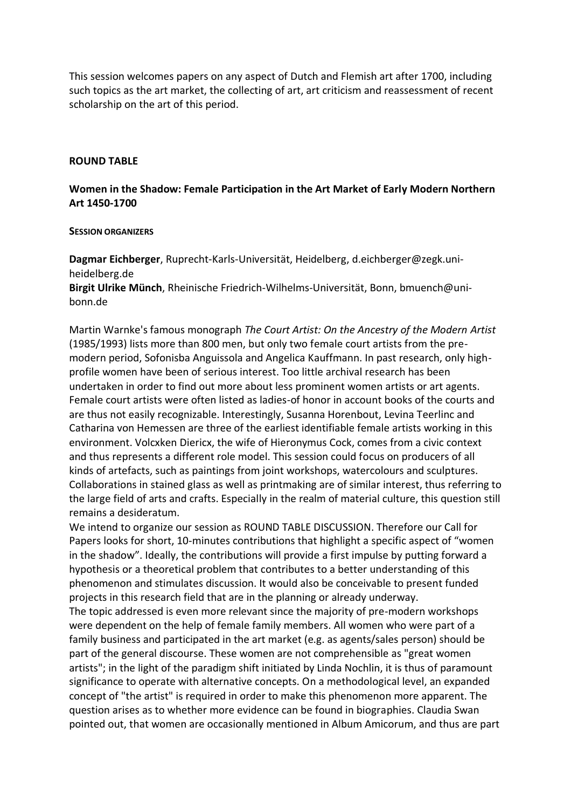This session welcomes papers on any aspect of Dutch and Flemish art after 1700, including such topics as the art market, the collecting of art, art criticism and reassessment of recent scholarship on the art of this period.

## **ROUND TABLE**

# **Women in the Shadow: Female Participation in the Art Market of Early Modern Northern Art 1450-1700**

### **SESSION ORGANIZERS**

**Dagmar Eichberger**, Ruprecht-Karls-Universität, Heidelberg, d.eichberger@zegk.uniheidelberg.de

**Birgit Ulrike Münch**, Rheinische Friedrich-Wilhelms-Universität, Bonn, bmuench@unibonn.de

Martin Warnke's famous monograph *The Court Artist: On the Ancestry of the Modern Artist* (1985/1993) lists more than 800 men, but only two female court artists from the premodern period, Sofonisba Anguissola and Angelica Kauffmann. In past research, only highprofile women have been of serious interest. Too little archival research has been undertaken in order to find out more about less prominent women artists or art agents. Female court artists were often listed as ladies-of honor in account books of the courts and are thus not easily recognizable. Interestingly, Susanna Horenbout, Levina Teerlinc and Catharina von Hemessen are three of the earliest identifiable female artists working in this environment. Volcxken Diericx, the wife of Hieronymus Cock, comes from a civic context and thus represents a different role model. This session could focus on producers of all kinds of artefacts, such as paintings from joint workshops, watercolours and sculptures. Collaborations in stained glass as well as printmaking are of similar interest, thus referring to the large field of arts and crafts. Especially in the realm of material culture, this question still remains a desideratum.

We intend to organize our session as ROUND TABLE DISCUSSION. Therefore our Call for Papers looks for short, 10-minutes contributions that highlight a specific aspect of "women in the shadow". Ideally, the contributions will provide a first impulse by putting forward a hypothesis or a theoretical problem that contributes to a better understanding of this phenomenon and stimulates discussion. It would also be conceivable to present funded projects in this research field that are in the planning or already underway.

The topic addressed is even more relevant since the majority of pre-modern workshops were dependent on the help of female family members. All women who were part of a family business and participated in the art market (e.g. as agents/sales person) should be part of the general discourse. These women are not comprehensible as "great women artists"; in the light of the paradigm shift initiated by Linda Nochlin, it is thus of paramount significance to operate with alternative concepts. On a methodological level, an expanded concept of "the artist" is required in order to make this phenomenon more apparent. The question arises as to whether more evidence can be found in biographies. Claudia Swan pointed out, that women are occasionally mentioned in Album Amicorum, and thus are part